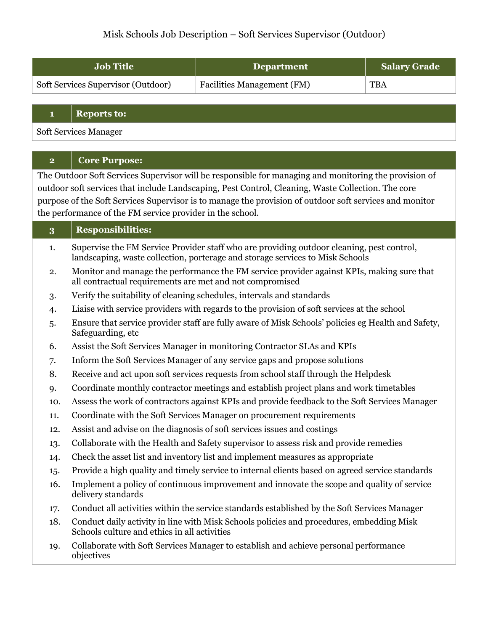# Misk Schools Job Description – Soft Services Supervisor (Outdoor)

| <b>Job Title</b>                   | <b>Department</b>                 | <b>Salary Grade</b> |
|------------------------------------|-----------------------------------|---------------------|
| Soft Services Supervisor (Outdoor) | <b>Facilities Management (FM)</b> | <b>TBA</b>          |

#### **1 Reports to:**

Soft Services Manager

## **2 Core Purpose:**

The Outdoor Soft Services Supervisor will be responsible for managing and monitoring the provision of outdoor soft services that include Landscaping, Pest Control, Cleaning, Waste Collection. The core purpose of the Soft Services Supervisor is to manage the provision of outdoor soft services and monitor the performance of the FM service provider in the school.

### **3 Responsibilities:**

- 1. Supervise the FM Service Provider staff who are providing outdoor cleaning, pest control, landscaping, waste collection, porterage and storage services to Misk Schools
- 2. Monitor and manage the performance the FM service provider against KPIs, making sure that all contractual requirements are met and not compromised
- 3. Verify the suitability of cleaning schedules, intervals and standards
- 4. Liaise with service providers with regards to the provision of soft services at the school
- 5. Ensure that service provider staff are fully aware of Misk Schools' policies eg Health and Safety, Safeguarding, etc
- 6. Assist the Soft Services Manager in monitoring Contractor SLAs and KPIs
- 7. Inform the Soft Services Manager of any service gaps and propose solutions
- 8. Receive and act upon soft services requests from school staff through the Helpdesk
- 9. Coordinate monthly contractor meetings and establish project plans and work timetables
- 10. Assess the work of contractors against KPIs and provide feedback to the Soft Services Manager
- 11. Coordinate with the Soft Services Manager on procurement requirements
- 12. Assist and advise on the diagnosis of soft services issues and costings
- 13. Collaborate with the Health and Safety supervisor to assess risk and provide remedies
- 14. Check the asset list and inventory list and implement measures as appropriate
- 15. Provide a high quality and timely service to internal clients based on agreed service standards
- 16. Implement a policy of continuous improvement and innovate the scope and quality of service delivery standards
- 17. Conduct all activities within the service standards established by the Soft Services Manager
- 18. Conduct daily activity in line with Misk Schools policies and procedures, embedding Misk Schools culture and ethics in all activities
- 19. Collaborate with Soft Services Manager to establish and achieve personal performance objectives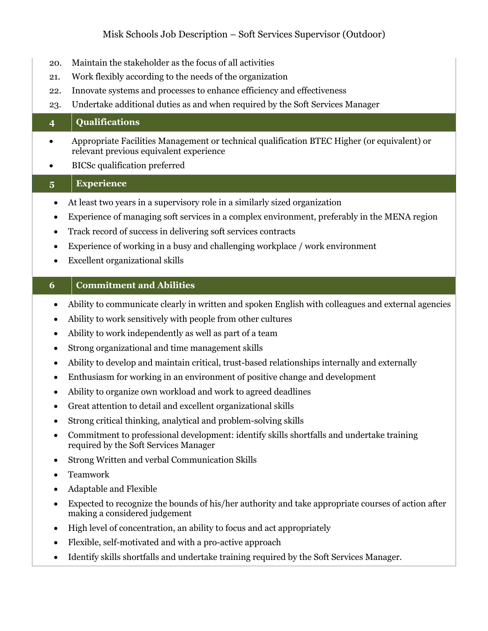# Misk Schools Job Description – Soft Services Supervisor (Outdoor)

- 20. Maintain the stakeholder as the focus of all activities
- 21. Work flexibly according to the needs of the organization
- 22. Innovate systems and processes to enhance efficiency and effectiveness
- 23. Undertake additional duties as and when required by the Soft Services Manager

### **4 Qualifications**

- Appropriate Facilities Management or technical qualification BTEC Higher (or equivalent) or relevant previous equivalent experience
- BICSc qualification preferred

### **5 Experience**

- At least two years in a supervisory role in a similarly sized organization
- Experience of managing soft services in a complex environment, preferably in the MENA region
- Track record of success in delivering soft services contracts
- Experience of working in a busy and challenging workplace / work environment
- Excellent organizational skills

#### **6 Commitment and Abilities**

- Ability to communicate clearly in written and spoken English with colleagues and external agencies
- Ability to work sensitively with people from other cultures
- Ability to work independently as well as part of a team
- Strong organizational and time management skills
- Ability to develop and maintain critical, trust-based relationships internally and externally
- Enthusiasm for working in an environment of positive change and development
- Ability to organize own workload and work to agreed deadlines
- Great attention to detail and excellent organizational skills
- Strong critical thinking, analytical and problem-solving skills
- Commitment to professional development: identify skills shortfalls and undertake training required by the Soft Services Manager
- Strong Written and verbal Communication Skills
- Teamwork
- Adaptable and Flexible
- Expected to recognize the bounds of his/her authority and take appropriate courses of action after making a considered judgement
- High level of concentration, an ability to focus and act appropriately
- Flexible, self-motivated and with a pro-active approach
- Identify skills shortfalls and undertake training required by the Soft Services Manager.